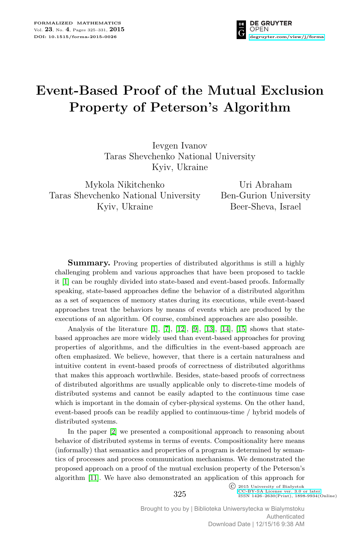

# **Event-Based Proof of the Mutual Exclusion Property of Peterson's Algorithm**

Ievgen Ivanov Taras Shevchenko National University Kyiv, Ukraine

Mykola Nikitchenko Taras Shevchenko National University Kyiv, Ukraine

Uri Abraham Ben-Gurion University Beer-Sheva, Israel

**Summary.** Proving properties of distributed algorithms is still a highly challenging problem and various approaches that have been proposed to tackle it [\[1\]](#page-6-0) can be roughly divided into state-based and event-based proofs. Informally speaking, state-based approaches define the behavior of a distributed algorithm as a set of sequences of memory states during its executions, while event-based approaches treat the behaviors by means of events which are produced by the executions of an algorithm. Of course, combined approaches are also possible.

Analysis of the literature  $[1]$ ,  $[7]$ ,  $[12]$ ,  $[9]$ ,  $[13]$ ,  $[14]$ ,  $[15]$  shows that statebased approaches are more widely used than event-based approaches for proving properties of algorithms, and the difficulties in the event-based approach are often emphasized. We believe, however, that there is a certain naturalness and intuitive content in event-based proofs of correctness of distributed algorithms that makes this approach worthwhile. Besides, state-based proofs of correctness of distributed algorithms are usually applicable only to discrete-time models of distributed systems and cannot be easily adapted to the continuous time case which is important in the domain of cyber-physical systems. On the other hand, event-based proofs can be readily applied to continuous-time / hybrid models of distributed systems.

In the paper [\[2\]](#page-6-7) we presented a compositional approach to reasoning about behavior of distributed systems in terms of events. Compositionality here means (informally) that semantics and properties of a program is determined by semantics of processes and process communication mechanisms. We demonstrated the proposed approach on a proof of the mutual exclusion property of the Peterson's algorithm [\[11\]](#page-6-8). We have also demonstrated an application of this approach for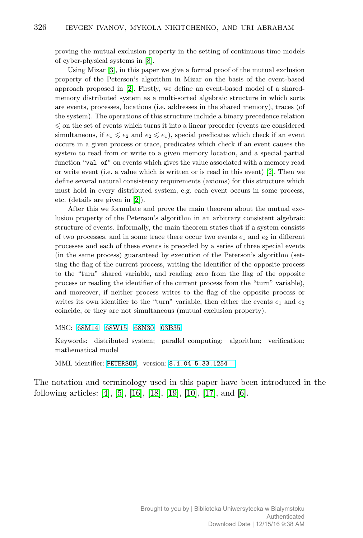proving the mutual exclusion property in the setting of continuous-time models of cyber-physical systems in [\[8\]](#page-6-9).

Using Mizar [\[3\]](#page-6-10), in this paper we give a formal proof of the mutual exclusion property of the Peterson's algorithm in Mizar on the basis of the event-based approach proposed in [\[2\]](#page-6-7). Firstly, we define an event-based model of a sharedmemory distributed system as a multi-sorted algebraic structure in which sorts are events, processes, locations (i.e. addresses in the shared memory), traces (of the system). The operations of this structure include a binary precedence relation  $\leqslant$  on the set of events which turns it into a linear preorder (events are considered simultaneous, if  $e_1 \leqslant e_2$  and  $e_2 \leqslant e_1$ ), special predicates which check if an event occurs in a given process or trace, predicates which check if an event causes the system to read from or write to a given memory location, and a special partial function "val of" on events which gives the value associated with a memory read or write event (i.e. a value which is written or is read in this event) [\[2\]](#page-6-7). Then we define several natural consistency requirements (axioms) for this structure which must hold in every distributed system, e.g. each event occurs in some process, etc. (details are given in [\[2\]](#page-6-7)).

After this we formulate and prove the main theorem about the mutual exclusion property of the Peterson's algorithm in an arbitrary consistent algebraic structure of events. Informally, the main theorem states that if a system consists of two processes, and in some trace there occur two events  $e_1$  and  $e_2$  in different processes and each of these events is preceded by a series of three special events (in the same process) guaranteed by execution of the Peterson's algorithm (setting the flag of the current process, writing the identifier of the opposite process to the "turn" shared variable, and reading zero from the flag of the opposite process or reading the identifier of the current process from the "turn" variable), and moreover, if neither process writes to the flag of the opposite process or writes its own identifier to the "turn" variable, then either the events  $e_1$  and  $e_2$ coincide, or they are not simultaneous (mutual exclusion property).

MSC: [68M14](http://zbmath.org/classification/?q=cc:68M14) [68W15](http://zbmath.org/classification/?q=cc:68W15) [68N30](http://zbmath.org/classification/?q=cc:68N30) [03B35](http://zbmath.org/classification/?q=cc:03B35)

Keywords: distributed system; parallel computing; algorithm; verification; mathematical model

MML identifier: [PETERSON](http://fm.mizar.org/miz/peterson.miz), version: [8.1.04 5.33.1254](http://ftp.mizar.org/)

The notation and terminology used in this paper have been introduced in the following articles: [\[4\]](#page-6-11), [\[5\]](#page-6-12), [\[16\]](#page-6-13), [\[18\]](#page-6-14), [\[19\]](#page-6-15), [\[10\]](#page-6-16), [\[17\]](#page-6-17), and [\[6\]](#page-6-18).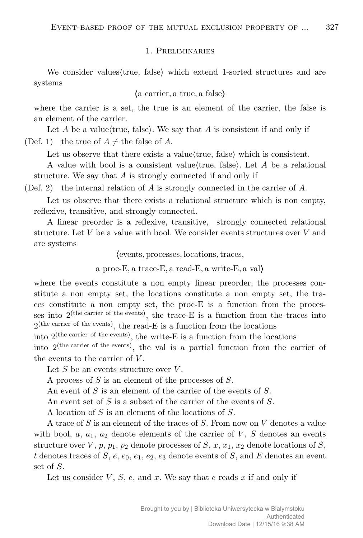#### 1. Preliminaries

We consider values (true, false) which extend 1-sorted structures and are systems

#### *h*a carrier*,* a true*,* a false*i*

where the carrier is a set, the true is an element of the carrier, the false is an element of the carrier.

Let  $A$  be a value/true, false). We say that  $A$  is consistent if and only if (Def. 1) the true of  $A \neq$  the false of A.

Let us observe that there exists a value $\langle$ true, false $\rangle$  which is consistent.

A value with bool is a consistent value (true, false). Let A be a relational structure. We say that *A* is strongly connected if and only if

(Def. 2) the internal relation of *A* is strongly connected in the carrier of *A*.

Let us observe that there exists a relational structure which is non empty, reflexive, transitive, and strongly connected.

A linear preorder is a reflexive, transitive, strongly connected relational structure. Let *V* be a value with bool. We consider events structures over *V* and are systems

*h*events*,* processes*,* locations*,*traces*,*

a proc-E*,* a trace-E*,* a read-E*,* a write-E*,* a val*i*

where the events constitute a non empty linear preorder, the processes constitute a non empty set, the locations constitute a non empty set, the traces constitute a non empty set, the proc-E is a function from the processes into  $2^{(the \text{ carrier of the events})}$ , the trace-E is a function from the traces into  $2^{(the \text{ carrier of the events})}$ , the read-E is a function from the locations

into  $2^{(the \text{ carrier of the events})}$ , the write-E is a function from the locations

into 2(the carrier of the events), the val is a partial function from the carrier of the events to the carrier of *V* .

Let *S* be an events structure over *V* .

A process of *S* is an element of the processes of *S*.

An event of *S* is an element of the carrier of the events of *S*.

An event set of *S* is a subset of the carrier of the events of *S*.

A location of *S* is an element of the locations of *S*.

A trace of *S* is an element of the traces of *S*. From now on *V* denotes a value with bool,  $a_1$ ,  $a_2$  denote elements of the carrier of  $V$ ,  $S$  denotes an events structure over  $V$ ,  $p$ ,  $p_1$ ,  $p_2$  denote processes of  $S$ ,  $x$ ,  $x_1$ ,  $x_2$  denote locations of  $S$ , *t* denotes traces of *S*, *e*,  $e_0$ ,  $e_1$ ,  $e_2$ ,  $e_3$  denote events of *S*, and *E* denotes an event set of *S*.

Let us consider *V*, *S*, *e*, and *x*. We say that *e* reads *x* if and only if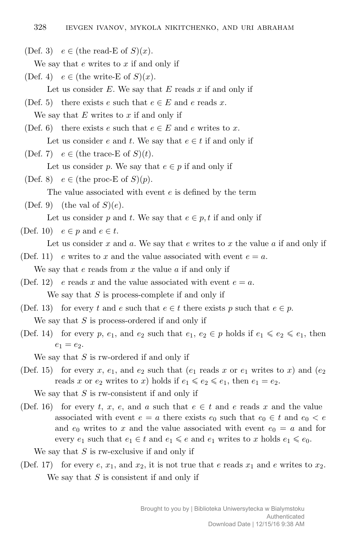(Def. 3)  $e \in (\text{the read-E of } S)(x)$ .

We say that *e* writes to *x* if and only if

- (Def. 4)  $e \in$  (the write-E of  $S(x)$ ). Let us consider *E*. We say that *E* reads *x* if and only if
- (Def. 5) there exists *e* such that  $e \in E$  and  $e$  reads  $x$ . We say that *E* writes to *x* if and only if
- (Def. 6) there exists *e* such that  $e \in E$  and *e* writes to *x*. Let us consider *e* and *t*. We say that  $e \in t$  if and only if
- (Def. 7)  $e \in$  (the trace-E of  $S(t)$ ).

Let us consider *p*. We say that  $e \in p$  if and only if

(Def. 8)  $e \in (\text{the proc-E of } S)(p)$ .

The value associated with event *e* is defined by the term

(Def. 9) (the val of  $S(e)$ .

```
Let us consider p and t. We say that e \in p, t if and only if
```
### (Def. 10)  $e \in p$  and  $e \in t$ .

- Let us consider *x* and *a*. We say that *e* writes to *x* the value *a* if and only if
- (Def. 11) *e* writes to *x* and the value associated with event  $e = a$ . We say that *e* reads from *x* the value *a* if and only if
- (Def. 12) *e* reads *x* and the value associated with event  $e = a$ . We say that *S* is process-complete if and only if
- (Def. 13) for every *t* and *e* such that  $e \in t$  there exists *p* such that  $e \in p$ . We say that *S* is process-ordered if and only if
- (Def. 14) for every p,  $e_1$ , and  $e_2$  such that  $e_1, e_2 \in p$  holds if  $e_1 \leq e_2 \leq e_1$ , then  $e_1 = e_2.$

We say that *S* is rw-ordered if and only if

(Def. 15) for every *x*,  $e_1$ , and  $e_2$  such that  $(e_1 \text{ reads } x \text{ or } e_1 \text{ writes to } x)$  and  $(e_2$ reads *x* or  $e_2$  writes to *x*) holds if  $e_1 \leq e_2 \leq e_1$ , then  $e_1 = e_2$ .

We say that *S* is rw-consistent if and only if

(Def. 16) for every *t*, *x*, *e*, and *a* such that  $e \in t$  and *e* reads *x* and the value associated with event  $e = a$  there exists  $e_0$  such that  $e_0 \in t$  and  $e_0 < e$ and  $e_0$  writes to x and the value associated with event  $e_0 = a$  and for every  $e_1$  such that  $e_1 \in t$  and  $e_1 \leq e$  and  $e_1$  writes to *x* holds  $e_1 \leq e_0$ .

We say that *S* is rw-exclusive if and only if

(Def. 17) for every  $e, x_1$ , and  $x_2$ , it is not true that  $e$  reads  $x_1$  and  $e$  writes to  $x_2$ . We say that *S* is consistent if and only if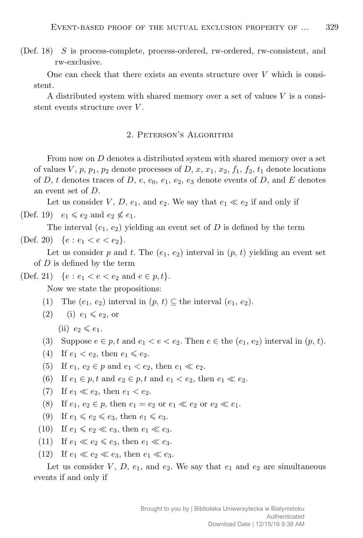(Def. 18) *S* is process-complete, process-ordered, rw-ordered, rw-consistent, and rw-exclusive.

One can check that there exists an events structure over *V* which is consistent.

A distributed system with shared memory over a set of values *V* is a consistent events structure over *V* .

## 2. Peterson's Algorithm

From now on *D* denotes a distributed system with shared memory over a set of values *V*,  $p$ ,  $p_1$ ,  $p_2$  denote processes of *D*,  $x$ ,  $x_1$ ,  $x_2$ ,  $f_1$ ,  $f_2$ ,  $t_1$  denote locations of *D*, *t* denotes traces of *D*, *e*,  $e_0$ ,  $e_1$ ,  $e_2$ ,  $e_3$  denote events of *D*, and *E* denotes an event set of *D*.

Let us consider *V*, *D*,  $e_1$ , and  $e_2$ . We say that  $e_1 \ll e_2$  if and only if (Def. 19)  $e_1 \leqslant e_2$  and  $e_2 \nleqslant e_1$ .

The interval  $(e_1, e_2)$  yielding an event set of  $D$  is defined by the term (Def. 20)  $\{e : e_1 < e < e_2\}.$ 

Let us consider  $p$  and  $t$ . The  $(e_1, e_2)$  interval in  $(p, t)$  yielding an event set of *D* is defined by the term

(Def. 21)  $\{e : e_1 < e < e_2 \text{ and } e \in p, t\}.$ 

Now we state the propositions:

- (1) The  $(e_1, e_2)$  interval in  $(p, t) \subseteq$  the interval  $(e_1, e_2)$ .
- $(2)$  (i)  $e_1 \leqslant e_2$ , or
	- $(ii)$   $e_2 \leqslant e_1$ .
- (3) Suppose  $e \in p$ ,  $t$  and  $e_1 < e < e_2$ . Then  $e \in \text{the } (e_1, e_2)$  interval in  $(p, t)$ .
- (4) If  $e_1 < e_2$ , then  $e_1 \leq e_2$ .
- (5) If  $e_1, e_2 \in p$  and  $e_1 < e_2$ , then  $e_1 \ll e_2$ .
- (6) If  $e_1 \in p$ , t and  $e_2 \in p$ , t and  $e_1 < e_2$ , then  $e_1 \ll e_2$ .
- (7) If  $e_1 \ll e_2$ , then  $e_1 < e_2$ .
- (8) If  $e_1, e_2 \in p$ , then  $e_1 = e_2$  or  $e_1 \ll e_2$  or  $e_2 \ll e_1$ .
- $(9)$  If  $e_1 \leqslant e_2 \leqslant e_3$ , then  $e_1 \leqslant e_3$ .
- (10) If  $e_1 \leq e_2 \leq e_3$ , then  $e_1 \leq e_3$ .
- (11) If  $e_1 \ll e_2 \leq e_3$ , then  $e_1 \ll e_3$ .
- (12) If  $e_1 \ll e_2 \ll e_3$ , then  $e_1 \ll e_3$ .

Let us consider  $V, D, e_1$ , and  $e_2$ . We say that  $e_1$  and  $e_2$  are simultaneous events if and only if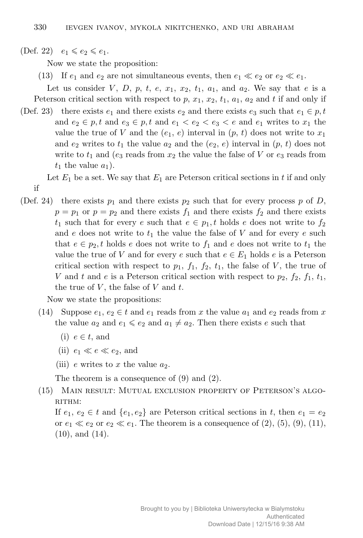$(\text{Def. } 22) \quad e_1 \leqslant e_2 \leqslant e_1.$ 

if

Now we state the proposition:

(13) If  $e_1$  and  $e_2$  are not simultaneous events, then  $e_1 \ll e_2$  or  $e_2 \ll e_1$ .

Let us consider *V*, *D*, *p*, *t*, *e*,  $x_1$ ,  $x_2$ ,  $t_1$ ,  $a_1$ , and  $a_2$ . We say that *e* is a

- Peterson critical section with respect to  $p$ ,  $x_1$ ,  $x_2$ ,  $t_1$ ,  $a_1$ ,  $a_2$  and  $t$  if and only if (Def. 23) there exists  $e_1$  and there exists  $e_2$  and there exists  $e_3$  such that  $e_1 \in p, t$ 
	- and  $e_2 \in p$ , t and  $e_3 \in p$ , t and  $e_1 < e_2 < e_3 < e$  and  $e_1$  writes to  $x_1$  the value the true of *V* and the  $(e_1, e)$  interval in  $(p, t)$  does not write to  $x_1$ and  $e_2$  writes to  $t_1$  the value  $a_2$  and the  $(e_2, e)$  interval in  $(p, t)$  does not write to  $t_1$  and ( $e_3$  reads from  $x_2$  the value the false of  $V$  or  $e_3$  reads from  $t_1$  the value  $a_1$ ).

Let  $E_1$  be a set. We say that  $E_1$  are Peterson critical sections in  $t$  if and only

(Def. 24) there exists  $p_1$  and there exists  $p_2$  such that for every process p of D,  $p = p_1$  or  $p = p_2$  and there exists  $f_1$  and there exists  $f_2$  and there exists  $t_1$  such that for every *e* such that  $e \in p_1$ , *t* holds *e* does not write to  $f_2$ and  $e$  does not write to  $t_1$  the value the false of  $V$  and for every  $e$  such that  $e \in p_2$ , t holds *e* does not write to  $f_1$  and *e* does not write to  $t_1$  the value the true of *V* and for every *e* such that  $e \in E_1$  holds *e* is a Peterson critical section with respect to  $p_1$ ,  $f_1$ ,  $f_2$ ,  $t_1$ , the false of *V*, the true of *V* and *t* and *e* is a Peterson critical section with respect to  $p_2$ ,  $f_2$ ,  $f_1$ ,  $t_1$ , the true of *V* , the false of *V* and *t*.

Now we state the propositions:

- (14) Suppose  $e_1, e_2 \in t$  and  $e_1$  reads from x the value  $a_1$  and  $e_2$  reads from x the value  $a_2$  and  $e_1 \leqslant e_2$  and  $a_1 \neq a_2$ . Then there exists *e* such that
	- (i)  $e \in t$ , and
	- (ii)  $e_1 \ll e \ll e_2$ , and
	- (iii)  $e$  writes to  $x$  the value  $a_2$ .

The theorem is a consequence of (9) and (2).

(15) Main result: Mutual exclusion property of Peterson's algo-RITHM:

If  $e_1, e_2 \in t$  and  $\{e_1, e_2\}$  are Peterson critical sections in *t*, then  $e_1 = e_2$ or  $e_1 \ll e_2$  or  $e_2 \ll e_1$ . The theorem is a consequence of (2), (5), (9), (11), (10), and (14).